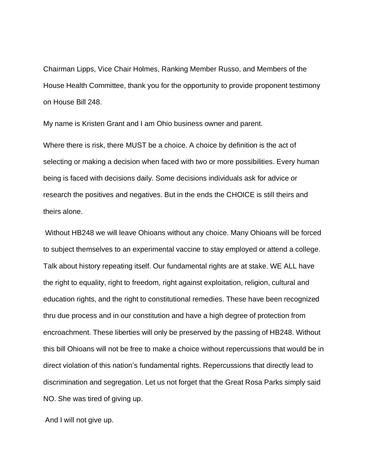Chairman Lipps, Vice Chair Holmes, Ranking Member Russo, and Members of the House Health Committee, thank you for the opportunity to provide proponent testimony on House Bill 248.

My name is Kristen Grant and I am Ohio business owner and parent.

Where there is risk, there MUST be a choice. A choice by definition is the act of selecting or making a decision when faced with two or more possibilities. Every human being is faced with decisions daily. Some decisions individuals ask for advice or research the positives and negatives. But in the ends the CHOICE is still theirs and theirs alone.

Without HB248 we will leave Ohioans without any choice. Many Ohioans will be forced to subject themselves to an experimental vaccine to stay employed or attend a college. Talk about history repeating itself. Our fundamental rights are at stake. WE ALL have the right to equality, right to freedom, right against exploitation, religion, cultural and education rights, and the right to constitutional remedies. These have been recognized thru due process and in our constitution and have a high degree of protection from encroachment. These liberties will only be preserved by the passing of HB248. Without this bill Ohioans will not be free to make a choice without repercussions that would be in direct violation of this nation's fundamental rights. Repercussions that directly lead to discrimination and segregation. Let us not forget that the Great Rosa Parks simply said NO. She was tired of giving up.

And I will not give up.